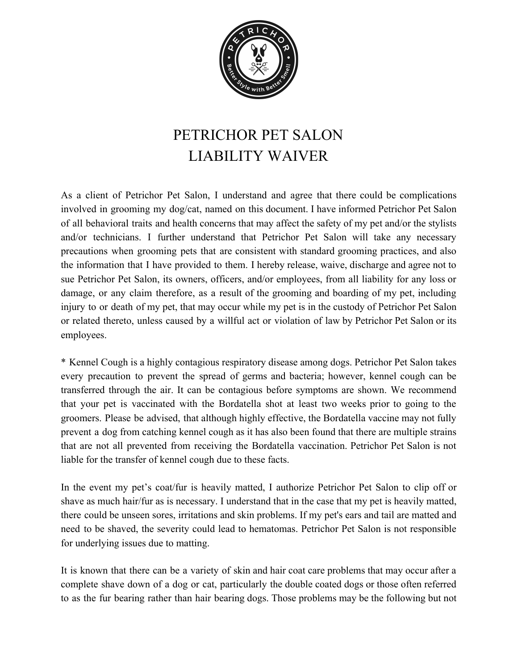

## PETRICHOR PET SALON LIABILITY WAIVER

As a client of Petrichor Pet Salon, I understand and agree that there could be complications involved in grooming my dog/cat, named on this document. I have informed Petrichor Pet Salon of all behavioral traits and health concerns that may affect the safety of my pet and/or the stylists and/or technicians. I further understand that Petrichor Pet Salon will take any necessary precautions when grooming pets that are consistent with standard grooming practices, and also the information that I have provided to them. I hereby release, waive, discharge and agree not to sue Petrichor Pet Salon, its owners, officers, and/or employees, from all liability for any loss or damage, or any claim therefore, as a result of the grooming and boarding of my pet, including injury to or death of my pet, that may occur while my pet is in the custody of Petrichor Pet Salon or related thereto, unless caused by a willful act or violation of law by Petrichor Pet Salon or its employees.

\* Kennel Cough is a highly contagious respiratory disease among dogs. Petrichor Pet Salon takes every precaution to prevent the spread of germs and bacteria; however, kennel cough can be transferred through the air. It can be contagious before symptoms are shown. We recommend that your pet is vaccinated with the Bordatella shot at least two weeks prior to going to the groomers. Please be advised, that although highly effective, the Bordatella vaccine may not fully prevent a dog from catching kennel cough as it has also been found that there are multiple strains that are not all prevented from receiving the Bordatella vaccination. Petrichor Pet Salon is not liable for the transfer of kennel cough due to these facts.

In the event my pet's coat/fur is heavily matted, I authorize Petrichor Pet Salon to clip off or shave as much hair/fur as is necessary. I understand that in the case that my pet is heavily matted, there could be unseen sores, irritations and skin problems. If my pet's ears and tail are matted and need to be shaved, the severity could lead to hematomas. Petrichor Pet Salon is not responsible for underlying issues due to matting.

It is known that there can be a variety of skin and hair coat care problems that may occur after a complete shave down of a dog or cat, particularly the double coated dogs or those often referred to as the fur bearing rather than hair bearing dogs. Those problems may be the following but not